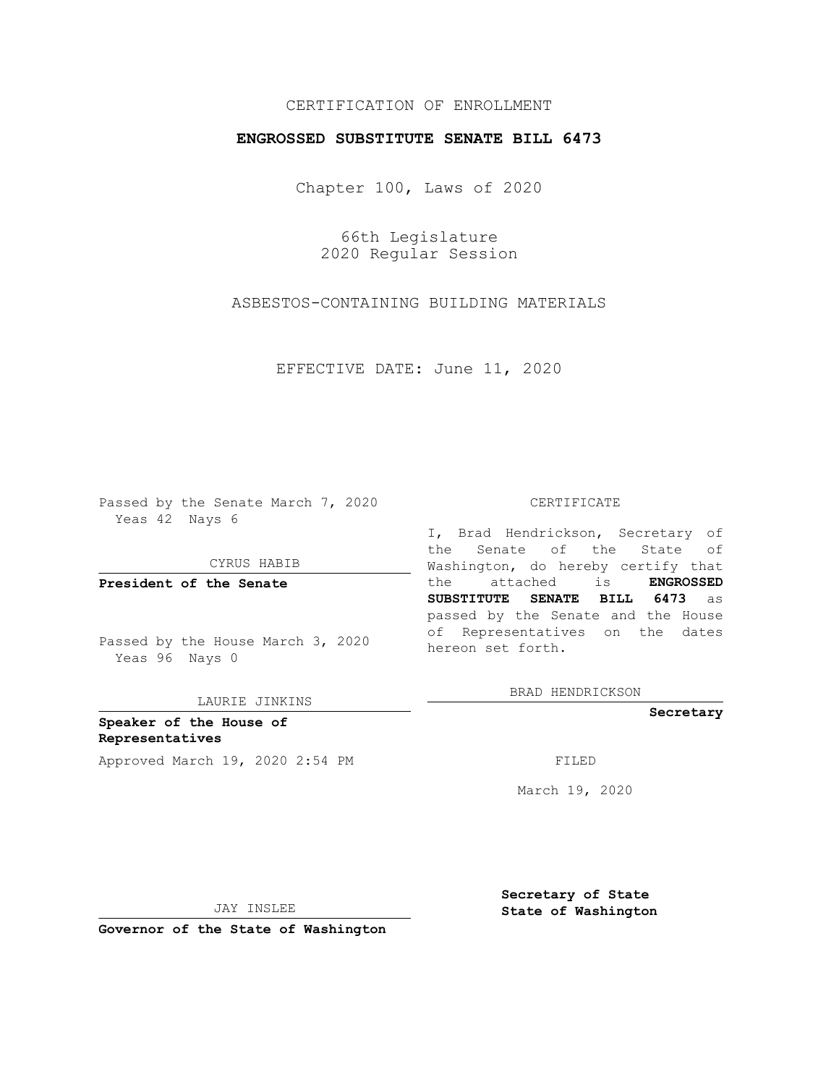## CERTIFICATION OF ENROLLMENT

## **ENGROSSED SUBSTITUTE SENATE BILL 6473**

Chapter 100, Laws of 2020

66th Legislature 2020 Regular Session

ASBESTOS-CONTAINING BUILDING MATERIALS

EFFECTIVE DATE: June 11, 2020

Passed by the Senate March 7, 2020 Yeas 42 Nays 6

CYRUS HABIB

**President of the Senate**

Passed by the House March 3, 2020 Yeas 96 Nays 0

LAURIE JINKINS

**Speaker of the House of Representatives** Approved March 19, 2020 2:54 PM

#### CERTIFICATE

I, Brad Hendrickson, Secretary of the Senate of the State of Washington, do hereby certify that the attached is **ENGROSSED SUBSTITUTE SENATE BILL 6473** as passed by the Senate and the House of Representatives on the dates hereon set forth.

BRAD HENDRICKSON

**Secretary**

March 19, 2020

JAY INSLEE

**Secretary of State State of Washington**

**Governor of the State of Washington**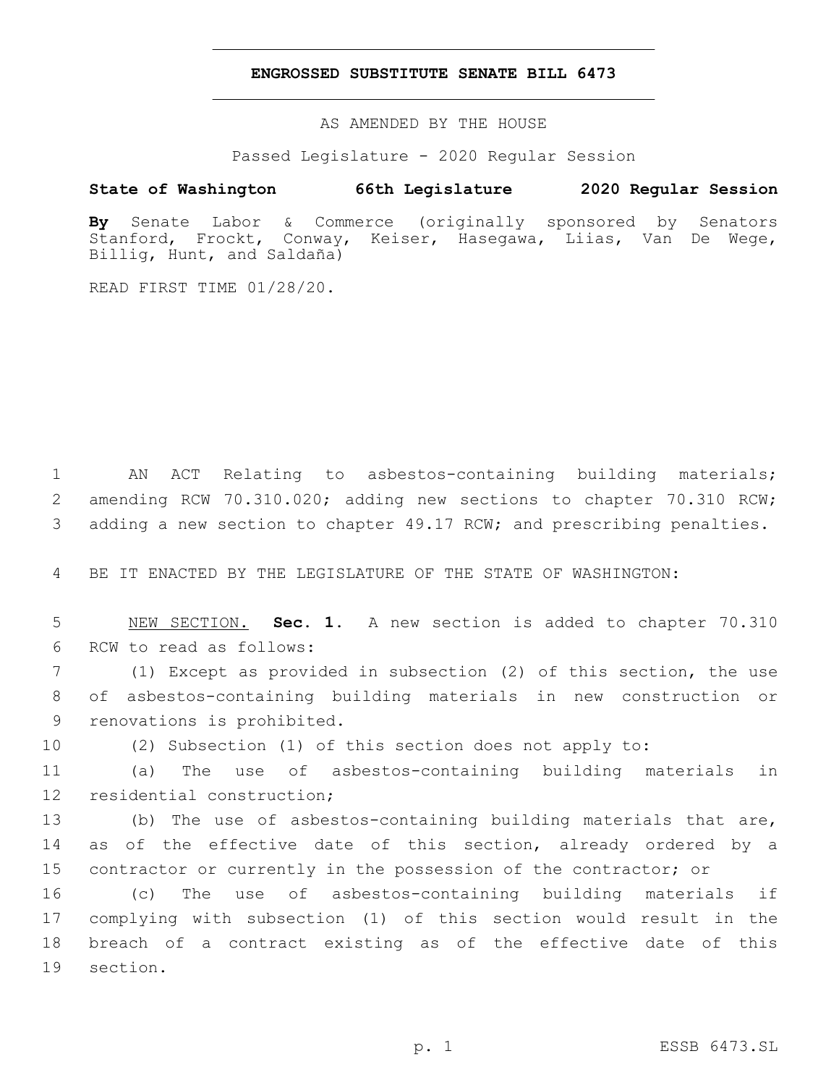### **ENGROSSED SUBSTITUTE SENATE BILL 6473**

AS AMENDED BY THE HOUSE

Passed Legislature - 2020 Regular Session

# **State of Washington 66th Legislature 2020 Regular Session**

**By** Senate Labor & Commerce (originally sponsored by Senators Stanford, Frockt, Conway, Keiser, Hasegawa, Liias, Van De Wege, Billig, Hunt, and Saldaña)

READ FIRST TIME 01/28/20.

1 AN ACT Relating to asbestos-containing building materials; 2 amending RCW 70.310.020; adding new sections to chapter 70.310 RCW; 3 adding a new section to chapter 49.17 RCW; and prescribing penalties.

4 BE IT ENACTED BY THE LEGISLATURE OF THE STATE OF WASHINGTON:

5 NEW SECTION. **Sec. 1.** A new section is added to chapter 70.310 6 RCW to read as follows:

7 (1) Except as provided in subsection (2) of this section, the use 8 of asbestos-containing building materials in new construction or 9 renovations is prohibited.

10 (2) Subsection (1) of this section does not apply to:

11 (a) The use of asbestos-containing building materials in 12 residential construction;

13 (b) The use of asbestos-containing building materials that are, 14 as of the effective date of this section, already ordered by a 15 contractor or currently in the possession of the contractor; or

 (c) The use of asbestos-containing building materials if complying with subsection (1) of this section would result in the breach of a contract existing as of the effective date of this 19 section.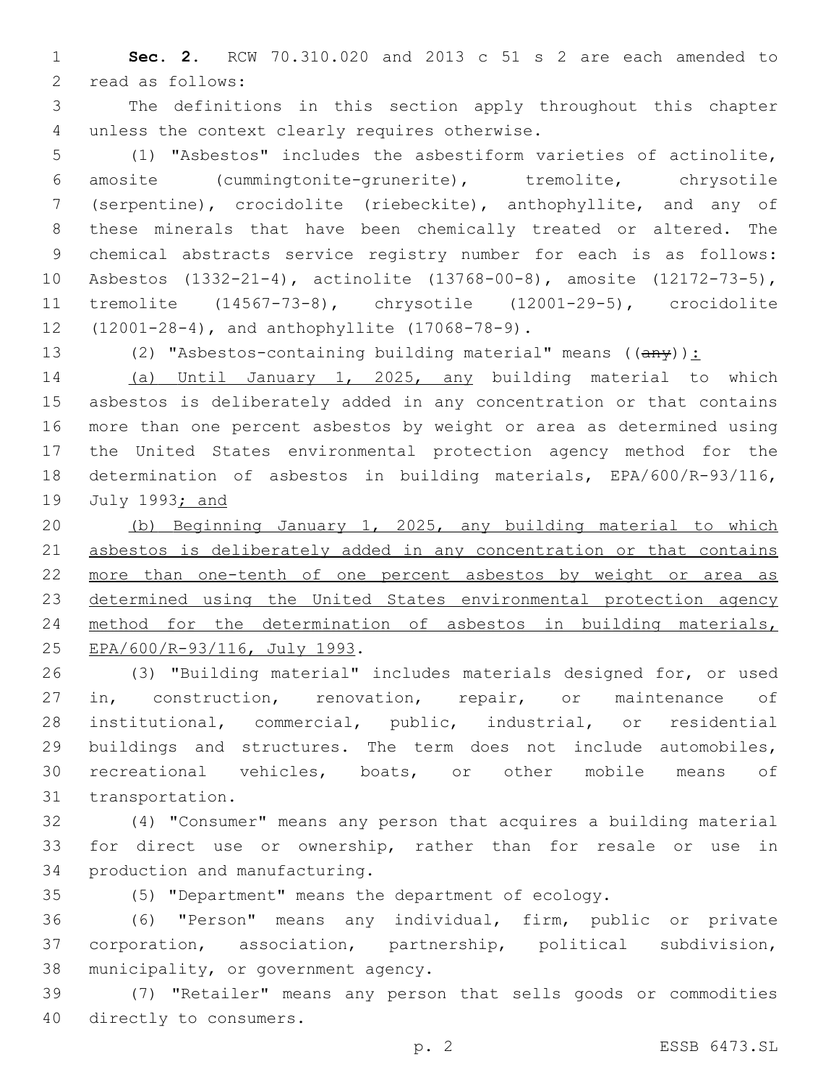**Sec. 2.** RCW 70.310.020 and 2013 c 51 s 2 are each amended to 2 read as follows:

 The definitions in this section apply throughout this chapter 4 unless the context clearly requires otherwise.

 (1) "Asbestos" includes the asbestiform varieties of actinolite, amosite (cummingtonite-grunerite), tremolite, chrysotile (serpentine), crocidolite (riebeckite), anthophyllite, and any of these minerals that have been chemically treated or altered. The chemical abstracts service registry number for each is as follows: Asbestos (1332-21-4), actinolite (13768-00-8), amosite (12172-73-5), tremolite (14567-73-8), chrysotile (12001-29-5), crocidolite 12 (12001-28-4), and anthophyllite (17068-78-9).

13 (2) "Asbestos-containing building material" means  $((a \rightarrow y))$ :

 (a) Until January 1, 2025, any building material to which asbestos is deliberately added in any concentration or that contains more than one percent asbestos by weight or area as determined using the United States environmental protection agency method for the determination of asbestos in building materials, EPA/600/R-93/116, July 1993; and

 (b) Beginning January 1, 2025, any building material to which 21 asbestos is deliberately added in any concentration or that contains more than one-tenth of one percent asbestos by weight or area as determined using the United States environmental protection agency method for the determination of asbestos in building materials, 25 EPA/600/R-93/116, July 1993.

 (3) "Building material" includes materials designed for, or used in, construction, renovation, repair, or maintenance of institutional, commercial, public, industrial, or residential buildings and structures. The term does not include automobiles, recreational vehicles, boats, or other mobile means of 31 transportation.

 (4) "Consumer" means any person that acquires a building material for direct use or ownership, rather than for resale or use in 34 production and manufacturing.

(5) "Department" means the department of ecology.

 (6) "Person" means any individual, firm, public or private corporation, association, partnership, political subdivision, 38 municipality, or government agency.

 (7) "Retailer" means any person that sells goods or commodities 40 directly to consumers.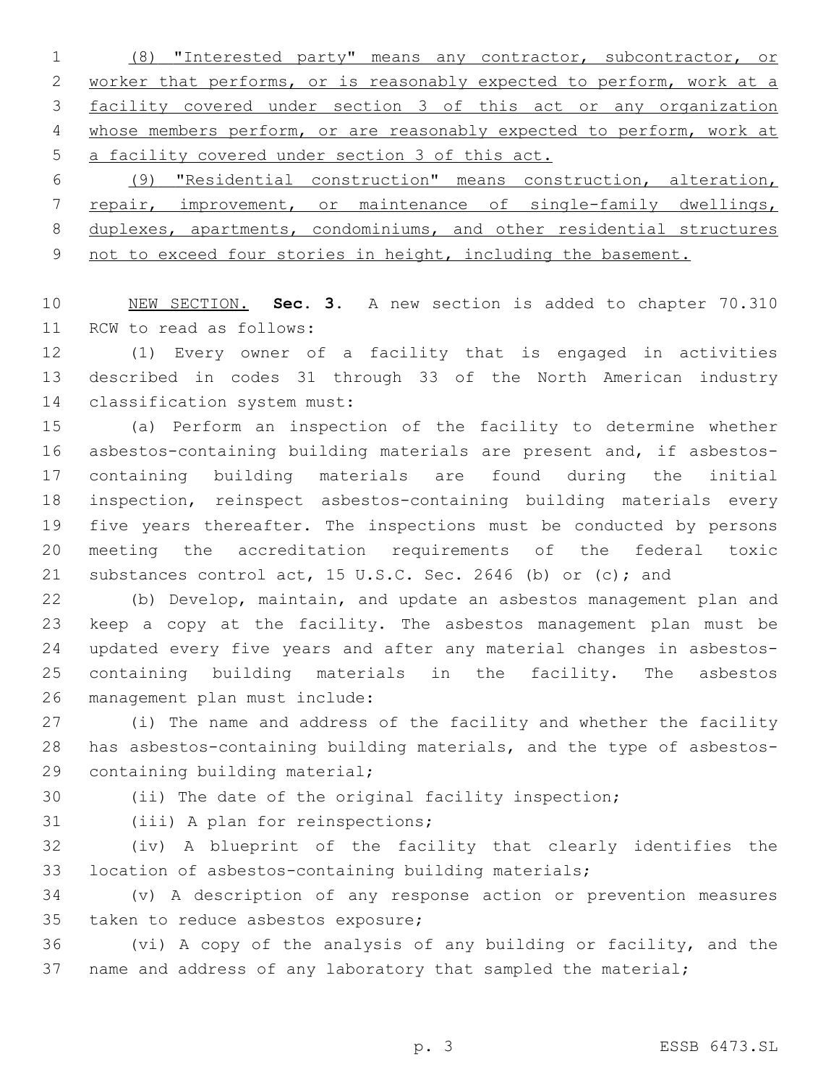(8) "Interested party" means any contractor, subcontractor, or worker that performs, or is reasonably expected to perform, work at a facility covered under section 3 of this act or any organization whose members perform, or are reasonably expected to perform, work at a facility covered under section 3 of this act.

 (9) "Residential construction" means construction, alteration, 7 repair, improvement, or maintenance of single-family dwellings, duplexes, apartments, condominiums, and other residential structures 9 not to exceed four stories in height, including the basement.

 NEW SECTION. **Sec. 3.** A new section is added to chapter 70.310 11 RCW to read as follows:

 (1) Every owner of a facility that is engaged in activities described in codes 31 through 33 of the North American industry 14 classification system must:

 (a) Perform an inspection of the facility to determine whether asbestos-containing building materials are present and, if asbestos- containing building materials are found during the initial inspection, reinspect asbestos-containing building materials every five years thereafter. The inspections must be conducted by persons meeting the accreditation requirements of the federal toxic substances control act, 15 U.S.C. Sec. 2646 (b) or (c); and

 (b) Develop, maintain, and update an asbestos management plan and keep a copy at the facility. The asbestos management plan must be updated every five years and after any material changes in asbestos- containing building materials in the facility. The asbestos 26 management plan must include:

 (i) The name and address of the facility and whether the facility has asbestos-containing building materials, and the type of asbestos-29 containing building material;

(ii) The date of the original facility inspection;

31 (iii) A plan for reinspections;

 (iv) A blueprint of the facility that clearly identifies the location of asbestos-containing building materials;

 (v) A description of any response action or prevention measures 35 taken to reduce asbestos exposure;

 (vi) A copy of the analysis of any building or facility, and the 37 name and address of any laboratory that sampled the material;